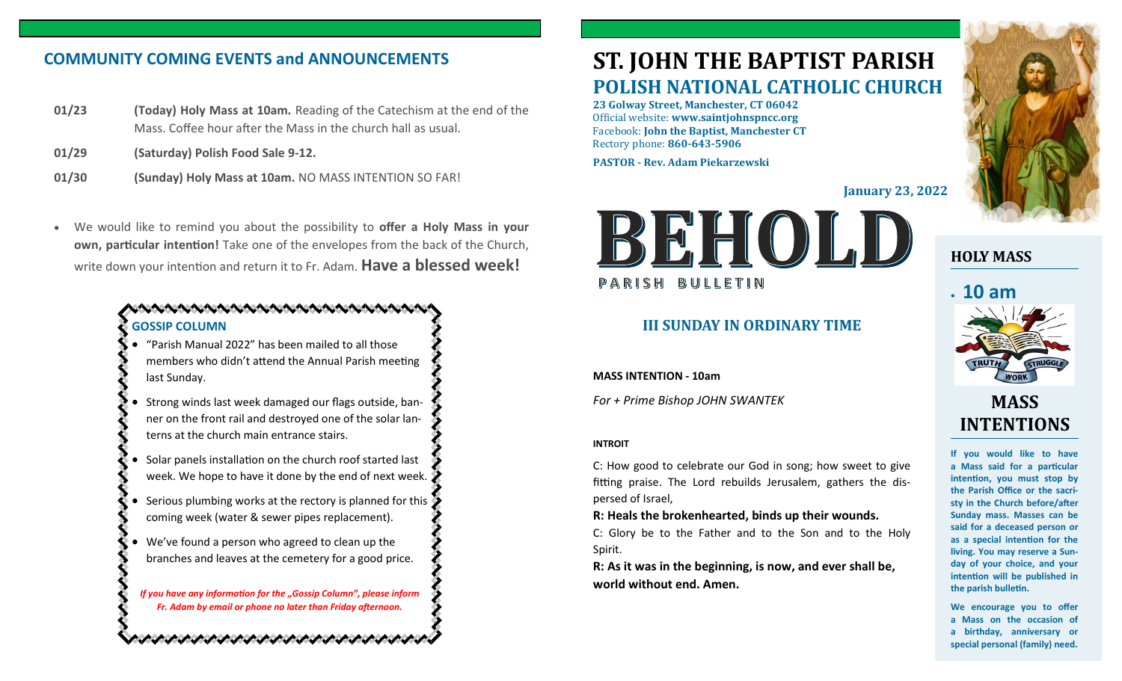# **COMMUNITY COMING EVENTS and ANNOUNCEMENTS**

- **01/23 (Today) Holy Mass at 10am.** Reading of the Catechism at the end of the Mass. Coffee hour after the Mass in the church hall as usual.
- **01/29 (Saturday) Polish Food Sale 9-12.**
- **01/30 (Sunday) Holy Mass at 10am.** NO MASS INTENTION SO FAR!
- We would like to remind you about the possibility to **offer a Holy Mass in your own, particular intention!** Take one of the envelopes from the back of the Church, write down your intention and return it to Fr. Adam. **Have a blessed week!**

### **GOSSIP COLUMN**

- "Parish Manual 2022" has been mailed to all those members who didn't attend the Annual Parish meeting last Sunday.
- Strong winds last week damaged our flags outside, banner on the front rail and destroyed one of the solar lanterns at the church main entrance stairs.
- Solar panels installation on the church roof started last week. We hope to have it done by the end of next week.
- Serious plumbing works at the rectory is planned for this coming week (water & sewer pipes replacement).
- We've found a person who agreed to clean up the branches and leaves at the cemetery for a good price.

*If you have any information for the "Gossip Column", please inform Fr. Adam by email or phone no later than Friday afternoon.*

とうけいさいけいさいけいきょうけいきょうけいきょうけい

# **ST. JOHN THE BAPTIST PARISH POLISH NATIONAL CATHOLIC CHURCH**

**23 Golway Street, Manchester, CT 06042** Official website: **www.saintjohnspncc.org** Facebook: **John the Baptist, Manchester CT** Rectory phone: **860-643-5906** 

**PASTOR - Rev. Adam Piekarzewski**

**January 23, 2022**



## **III SUNDAY IN ORDINARY TIME**

**MASS INTENTION - 10am**

*For + Prime Bishop JOHN SWANTEK*

#### **INTROIT**

C: How good to celebrate our God in song; how sweet to give fitting praise. The Lord rebuilds Jerusalem, gathers the dispersed of Israel,

**R: Heals the brokenhearted, binds up their wounds.**

C: Glory be to the Father and to the Son and to the Holy Spirit.

**R: As it was in the beginning, is now, and ever shall be, world without end. Amen.**



# **HOLY MASS**



# **MASS INTENTIONS**

**If you would like to have a Mass said for a particular intention, you must stop by the Parish Office or the sacristy in the Church before/after Sunday mass. Masses can be said for a deceased person or as a special intention for the living. You may reserve a Sunday of your choice, and your intention will be published in the parish bulletin.**

**We encourage you to offer a Mass on the occasion of a birthday, anniversary or special personal (family) need.**